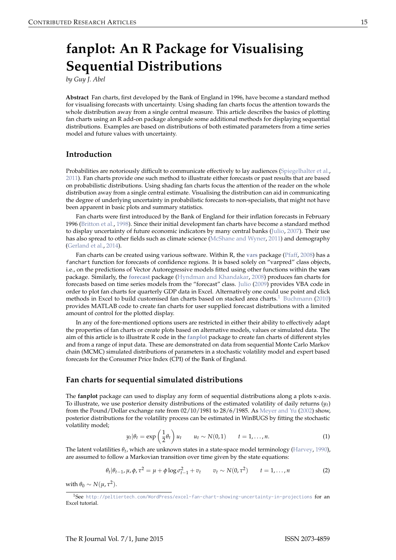# <span id="page-0-0"></span>**fanplot: An R Package for Visualising Sequential Distributions**

*by Guy J. Abel*

**Abstract** Fan charts, first developed by the Bank of England in 1996, have become a standard method for visualising forecasts with uncertainty. Using shading fan charts focus the attention towards the whole distribution away from a single central measure. This article describes the basics of plotting fan charts using an R add-on package alongside some additional methods for displaying sequential distributions. Examples are based on distributions of both estimated parameters from a time series model and future values with uncertainty.

#### **Introduction**

Probabilities are notoriously difficult to communicate effectively to lay audiences [\(Spiegelhalter et al.,](#page-8-0) [2011\)](#page-8-0). Fan charts provide one such method to illustrate either forecasts or past results that are based on probabilistic distributions. Using shading fan charts focus the attention of the reader on the whole distribution away from a single central estimate. Visualising the distribution can aid in communicating the degree of underlying uncertainty in probabilistic forecasts to non-specialists, that might not have been apparent in basic plots and summary statistics.

Fan charts were first introduced by the Bank of England for their inflation forecasts in February 1996 [\(Britton et al.,](#page-7-0) [1998\)](#page-7-0). Since their initial development fan charts have become a standard method to display uncertainty of future economic indicators by many central banks [\(Julio,](#page-7-1) [2007\)](#page-7-1). Their use has also spread to other fields such as climate science [\(McShane and Wyner,](#page-7-2) [2011\)](#page-7-2) and demography [\(Gerland et al.,](#page-7-3) [2014\)](#page-7-3).

Fan charts can be created using various software. Within R, the **[vars](http://CRAN.R-project.org/package=vars)** package [\(Pfaff,](#page-8-1) [2008\)](#page-8-1) has a fanchart function for forecasts of confidence regions. It is based solely on "varpred" class objects, i.e., on the predictions of Vector Autoregressive models fitted using other functions within the **vars** package. Similarly, the **[forecast](http://CRAN.R-project.org/package=forecast)** package [\(Hyndman and Khandakar,](#page-7-4) [2008\)](#page-7-4) produces fan charts for forecasts based on time series models from the "forecast" class. [Julio](#page-7-5) [\(2009\)](#page-7-5) provides VBA code in order to plot fan charts for quarterly GDP data in Excel. Alternatively one could use point and click methods in Excel to build customised fan charts based on stacked area charts.<sup>[1](#page--1-0)</sup> [Buchmann](#page-7-6) [\(2010\)](#page-7-6) provides MATLAB code to create fan charts for user supplied forecast distributions with a limited amount of control for the plotted display.

In any of the fore-mentioned options users are restricted in either their ability to effectively adapt the properties of fan charts or create plots based on alternative models, values or simulated data. The aim of this article is to illustrate R code in the **[fanplot](http://CRAN.R-project.org/package=fanplot)** package to create fan charts of different styles and from a range of input data. These are demonstrated on data from sequential Monte Carlo Markov chain (MCMC) simulated distributions of parameters in a stochastic volatility model and expert based forecasts for the Consumer Price Index (CPI) of the Bank of England.

#### **Fan charts for sequential simulated distributions**

The **fanplot** package can used to display any form of sequential distributions along a plots x-axis. To illustrate, we use posterior density distributions of the estimated volatility of daily returns  $(y_t)$ from the Pound/Dollar exchange rate from 02/10/1981 to 28/6/1985. As [Meyer and Yu](#page-8-2) [\(2002\)](#page-8-2) show, posterior distributions for the volatility process can be estimated in WinBUGS by fitting the stochastic volatility model;

$$
y_t|\theta_t = \exp\left(\frac{1}{2}\theta_t\right)u_t \qquad u_t \sim N(0,1) \qquad t = 1,\ldots,n. \tag{1}
$$

The latent volatilities *θt* , which are unknown states in a state-space model terminology [\(Harvey,](#page-7-7) [1990\)](#page-7-7), are assumed to follow a Markovian transition over time given by the state equations:

$$
\theta_t | \theta_{t-1}, \mu, \phi, \tau^2 = \mu + \phi \log \sigma_{t-1}^2 + v_t \qquad v_t \sim N(0, \tau^2) \qquad t = 1, ..., n \tag{2}
$$

with  $\theta_0 \sim N(\mu, \tau^2)$ .

<sup>&</sup>lt;sup>1</sup>See <http://peltiertech.com/WordPress/excel-fan-chart-showing-uncertainty-in-projections> for an Excel tutorial.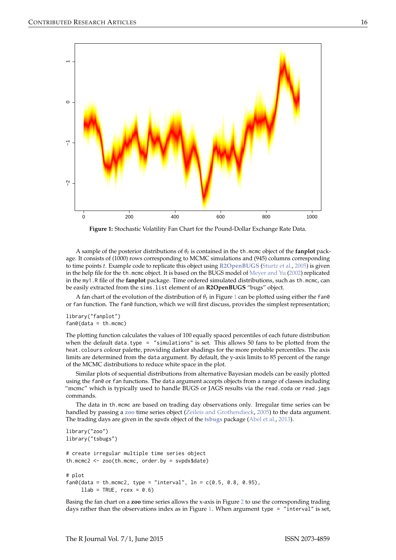<span id="page-1-1"></span><span id="page-1-0"></span>

**Figure 1:** Stochastic Volatility Fan Chart for the Pound-Dollar Exchange Rate Data.

A sample of the posterior distributions of *θt* is contained in the th.mcmc object of the **fanplot** package. It consists of (1000) rows corresponding to MCMC simulations and (945) columns corresponding to time points *t*. Example code to replicate this object using **[R2OpenBUGS](http://CRAN.R-project.org/package=R2OpenBUGS)** [\(Sturtz et al.,](#page-8-3) [2005\)](#page-8-3) is given in the help file for the th.mcmc object. It is based on the BUGS model of [Meyer and Yu](#page-8-2) [\(2002\)](#page-8-2) replicated in the my1.R file of the **fanplot** package. Time ordered simulated distributions, such as th.mcmc, can be easily extracted from the sims.list element of an **R2OpenBUGS** "bugs" object.

A fan chart of the evolution of the distribution of *θt* in Figure [1](#page-1-0) can be plotted using either the fan0 or fan function. The fan0 function, which we will first discuss, provides the simplest representation;

library("fanplot")  $fan\&(data = th.mcmc)$ 

The plotting function calculates the values of 100 equally spaced percentiles of each future distribution when the default data.type = "simulations" is set. This allows 50 fans to be plotted from the heat.colours colour palette, providing darker shadings for the more probable percentiles. The axis limits are determined from the data argument. By default, the y-axis limits to 85 percent of the range of the MCMC distributions to reduce white space in the plot.

Similar plots of sequential distributions from alternative Bayesian models can be easily plotted using the fan0 or fan functions. The data argument accepts objects from a range of classes including "mcmc" which is typically used to handle BUGS or JAGS results via the read.coda or read.jags commands.

The data in th.mcmc are based on trading day observations only. Irregular time series can be handled by passing a **[zoo](http://CRAN.R-project.org/package=zoo)** time series object [\(Zeileis and Grothendieck,](#page-8-4) [2005\)](#page-8-4) to the data argument. The trading days are given in the spvdx object of the **[tsbugs](http://CRAN.R-project.org/package=tsbugs)** package [\(Abel et al.,](#page-7-8) [2013\)](#page-7-8).

```
library("zoo")
library("tsbugs")
# create irregular multiple time series object
th.mcmc2 \le zoo(th.mcmc, order.by = svpdx$date)
# plot
fan0(data = th.mcmc2, type = "interval", ln = c(0.5, 0.8, 0.95),llab = TRUE, recx = 0.6
```
Basing the fan chart on a **zoo** time series allows the x-axis in Figure [2](#page-2-0) to use the corresponding trading days rather than the observations index as in Figure [1.](#page-1-0) When argument type = "interval" is set,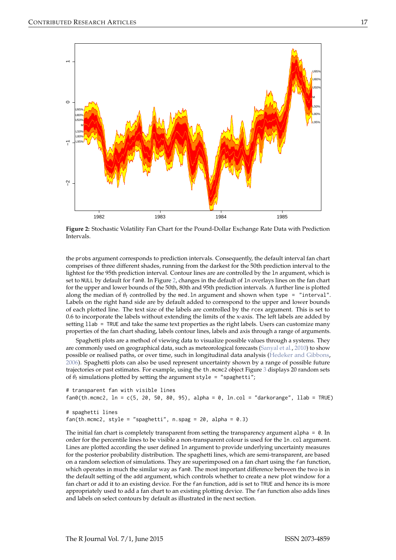<span id="page-2-1"></span><span id="page-2-0"></span>

**Figure 2:** Stochastic Volatility Fan Chart for the Pound-Dollar Exchange Rate Data with Prediction Intervals.

the probs argument corresponds to prediction intervals. Consequently, the default interval fan chart comprises of three different shades, running from the darkest for the 50th prediction interval to the lightest for the 95th prediction interval. Contour lines are are controlled by the ln argument, which is set to NULL by default for fan0. In Figure [2,](#page-2-0) changes in the default of 1n overlays lines on the fan chart for the upper and lower bounds of the 50th, 80th and 95th prediction intervals. A further line is plotted along the median of  $\theta_t$  controlled by the med. In argument and shown when type = "interval". Labels on the right hand side are by default added to correspond to the upper and lower bounds of each plotted line. The text size of the labels are controlled by the rcex argument. This is set to 0.6 to incorporate the labels without extending the limits of the x-axis. The left labels are added by setting llab = TRUE and take the same text properties as the right labels. Users can customize many properties of the fan chart shading, labels contour lines, labels and axis through a range of arguments.

Spaghetti plots are a method of viewing data to visualize possible values through a systems. They are commonly used on geographical data, such as meteorological forecasts [\(Sanyal et al.,](#page-8-5) [2010\)](#page-8-5) to show possible or realised paths, or over time, such in longitudinal data analysis [\(Hedeker and Gibbons,](#page-7-9) [2006\)](#page-7-9). Spaghetti plots can also be used represent uncertainty shown by a range of possible future trajectories or past estimates. For example, using the th.mcmc2 object Figure [3](#page-3-0) displays 20 random sets of  $\theta_t$  simulations plotted by setting the argument style = "spaghetti";

```
# transparent fan with visible lines
fan\theta(th.mcmc2, ln = c(5, 20, 50, 80, 95), alpha = 0, ln.col = "darkorange", llab = TRUE)# spaghetti lines
fan(th.mcmc2, style = "spaghetti", n.\text{spag} = 20, alpha = 0.3)
```
The initial fan chart is completely transparent from setting the transparency argument alpha =  $0$ . In order for the percentile lines to be visible a non-transparent colour is used for the ln.col argument. Lines are plotted according the user defined ln argument to provide underlying uncertainty measures for the posterior probability distribution. The spaghetti lines, which are semi-transparent, are based on a random selection of simulations. They are superimposed on a fan chart using the fan function, which operates in much the similar way as fan0. The most important difference between the two is in the default setting of the add argument, which controls whether to create a new plot window for a fan chart or add it to an existing device. For the fan function, add is set to TRUE and hence its is more appropriately used to add a fan chart to an existing plotting device. The fan function also adds lines and labels on select contours by default as illustrated in the next section.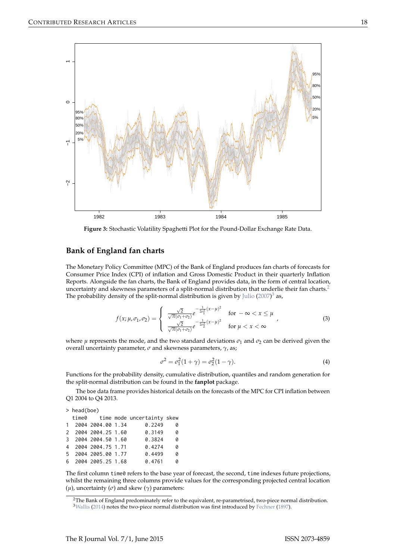<span id="page-3-1"></span><span id="page-3-0"></span>

**Figure 3:** Stochastic Volatility Spaghetti Plot for the Pound-Dollar Exchange Rate Data.

### **Bank of England fan charts**

The Monetary Policy Committee (MPC) of the Bank of England produces fan charts of forecasts for Consumer Price Index (CPI) of inflation and Gross Domestic Product in their quarterly Inflation Reports. Alongside the fan charts, the Bank of England provides data, in the form of central location, uncertainty and skewness parameters of a split-normal distribution that underlie their fan charts.<sup>[2](#page--1-0)</sup> The probability density of the split-normal distribution is given by [Julio](#page-7-1) [\(2007\)](#page-7-1)<sup>[3](#page--1-0)</sup> as,

$$
f(x; \mu, \sigma_1, \sigma_2) = \begin{cases} \frac{\sqrt{2}}{\sqrt{\pi}(\sigma_1 + \sigma_2)} e^{-\frac{1}{2\sigma_1^2}(x-\mu)^2} & \text{for } -\infty < x \le \mu \\ \frac{\sqrt{2}}{\sqrt{\pi}(\sigma_1 + \sigma_2)} e^{-\frac{1}{2\sigma_2^2}(x-\mu)^2} & \text{for } \mu < x < \infty \end{cases}
$$
 (3)

where  $\mu$  represents the mode, and the two standard deviations  $\sigma_1$  and  $\sigma_2$  can be derived given the overall uncertainty parameter, *σ* and skewness parameters, *γ*, as;

$$
\sigma^2 = \sigma_1^2 (1 + \gamma) = \sigma_2^2 (1 - \gamma).
$$
 (4)

Functions for the probability density, cumulative distribution, quantiles and random generation for the split-normal distribution can be found in the **fanplot** package.

The boe data frame provides historical details on the forecasts of the MPC for CPI inflation between Q1 2004 to Q4 2013.

| > head(boe) |                     |  |                                  |   |
|-------------|---------------------|--|----------------------------------|---|
|             |                     |  | time0 time mode uncertainty skew |   |
|             | 1 2004 2004.00 1.34 |  | 0.2249                           | 0 |
|             | 2 2004 2004.25 1.60 |  | 0.3149                           | ø |
|             | 3 2004 2004.50 1.60 |  | 0.3824                           | ø |
|             | 4 2004 2004.75 1.71 |  | 0.4274                           | ø |
|             | 5 2004 2005.00 1.77 |  | 0.4499                           | ø |
|             | 6 2004 2005.25 1.68 |  | 0.4761                           | ø |
|             |                     |  |                                  |   |

The first column time0 refers to the base year of forecast, the second, time indexes future projections, whilst the remaining three columns provide values for the corresponding projected central location (*µ*), uncertainty (*σ*) and skew (*γ*) parameters:

<sup>2</sup>The Bank of England predominately refer to the equivalent, re-parametrised, two-piece normal distribution. <sup>3</sup>[Wallis](#page-8-6) [\(2014\)](#page-8-6) notes the two-piece normal distribution was first introduced by [Fechner](#page-7-10) [\(1897\)](#page-7-10).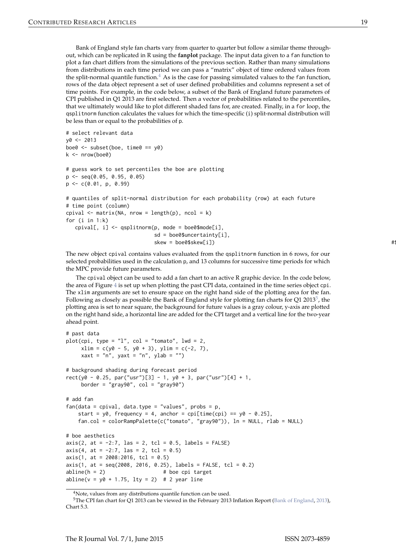<span id="page-4-0"></span>Bank of England style fan charts vary from quarter to quarter but follow a similar theme throughout, which can be replicated in R using the **fanplot** package. The input data given to a fan function to plot a fan chart differs from the simulations of the previous section. Rather than many simulations from distributions in each time period we can pass a "matrix" object of time ordered values from the split-normal quantile function.<sup>[4](#page--1-0)</sup> As is the case for passing simulated values to the fan function, rows of the data object represent a set of user defined probabilities and columns represent a set of time points. For example, in the code below, a subset of the Bank of England future parameters of CPI published in Q1 2013 are first selected. Then a vector of probabilities related to the percentiles, that we ultimately would like to plot different shaded fans for, are created. Finally, in a for loop, the qsplitnorm function calculates the values for which the time-specific (i) split-normal distribution will be less than or equal to the probabilities of p.

```
# select relevant data
y0 < -2013boe0 \leq -subset(boe, time0 == y0)k \leq -nrow(boe0)# guess work to set percentiles the boe are plotting
p <- seq(0.05, 0.95, 0.05)
p \leq -c(0.01, p, 0.99)# quantiles of split-normal distribution for each probability (row) at each future
# time point (column)
cpival \leq matrix(NA, nrow = length(p), ncol = k)
for (i in 1:k)
  cpival[, i] <- qsplitnorm(p, mode = boe0$mode[i],
                          sd = boe0$uncertainty[i],
                          skew = boe0$skew[i]) #$
```
The new object cpival contains values evaluated from the qsplitnorm function in 6 rows, for our selected probabilities used in the calculation p, and 13 columns for successive time periods for which the MPC provide future parameters.

The cpival object can be used to add a fan chart to an active R graphic device. In the code below, the area of Figure [4](#page-5-0) is set up when plotting the past CPI data, contained in the time series object cpi. The xlim arguments are set to ensure space on the right hand side of the plotting area for the fan. Following as closely as possible the Bank of England style for plotting fan charts for Q1 2013<sup>[5](#page--1-0)</sup>, the plotting area is set to near square, the background for future values is a gray colour, y-axis are plotted on the right hand side, a horizontal line are added for the CPI target and a vertical line for the two-year ahead point.

```
# past data
plot(cpi, type = "l", col = "tomato", lwd = 2,xlim = c(y0 - 5, y0 + 3), ylim = c(-2, 7),xaxt = "n", yaxt = "n", ylab = "")
# background shading during forecast period
rect(y0 - 0.25, par("usr")[3] - 1, y0 + 3, par("usr")[4] + 1,border = "gray90", col = "gray90")# add fan
fan(data = cpival, data.type = "values", probs = p,
   start = y0, frequency = 4, anchor = cpi[time(cpi) == y0 - 0.25],
   fan.col = colorRampPalette(c("tomato", "gray90")), ln = NULL, rlab = NULL)
# boe aesthetics
axis(2, at = -2:7, las = 2, tol = 0.5, labels = FALSE)axis(4, at = -2:7, las = 2, tol = 0.5)axis(1, at = 2008:2016, tcl = 0.5)axis(1, at = seq(2008, 2016, 0.25), labels = FALSE, tol = 0.2)abline(h = 2) # boe cpi target
abline(v = y0 + 1.75, lty = 2) # 2 year line
```
<sup>&</sup>lt;sup>4</sup>Note, values from any distributions quantile function can be used.

<sup>5</sup>The CPI fan chart for Q1 2013 can be viewed in the February 2013 Inflation Report [\(Bank of England,](#page-7-11) [2013\)](#page-7-11), Chart 5.3.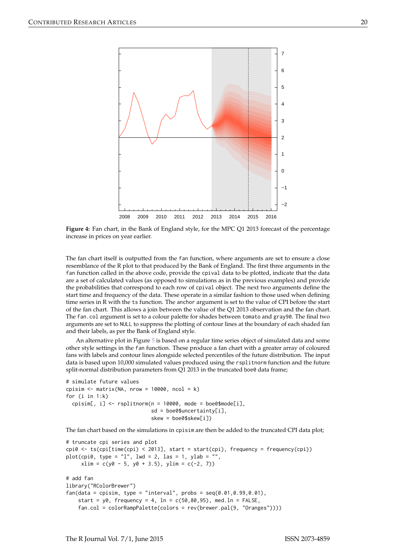<span id="page-5-0"></span>

**Figure 4:** Fan chart, in the Bank of England style, for the MPC Q1 2013 forecast of the percentage increase in prices on year earlier.

The fan chart itself is outputted from the fan function, where arguments are set to ensure a close resemblance of the R plot to that produced by the Bank of England. The first three arguments in the fan function called in the above code, provide the cpival data to be plotted, indicate that the data are a set of calculated values (as opposed to simulations as in the previous examples) and provide the probabilities that correspond to each row of cpival object. The next two arguments define the start time and frequency of the data. These operate in a similar fashion to those used when defining time series in R with the ts function. The anchor argument is set to the value of CPI before the start of the fan chart. This allows a join between the value of the Q1 2013 observation and the fan chart. The fan.col argument is set to a colour palette for shades between tomato and gray90. The final two arguments are set to NULL to suppress the plotting of contour lines at the boundary of each shaded fan and their labels, as per the Bank of England style.

An alternative plot in Figure [5](#page-6-0) is based on a regular time series object of simulated data and some other style settings in the fan function. These produce a fan chart with a greater array of coloured fans with labels and contour lines alongside selected percentiles of the future distribution. The input data is based upon 10,000 simulated values produced using the rsplitnorm function and the future split-normal distribution parameters from Q1 2013 in the truncated boe0 data frame;

```
# simulate future values
cpisim \le matrix(NA, nrow = 10000, ncol = k)
for (i in 1:k)
 cpisim[, i] <- rsplitnorm(n = 10000, mode = boe0$mode[i],
                            sd = boe0$uncertainty[i],
                            skew = boe0$skew[i])
```
The fan chart based on the simulations in cpisim are then be added to the truncated CPI data plot;

```
# truncate cpi series and plot
cpi0 \leq t \leq (cpi[time(cpi) \leq 2013], start = start(cpi), frequency = frequency(cpi))plot(cpi0, type = "l", lwd = 2, las = 1, ylab = "",xlim = c(y0 - 5, y0 + 3.5), ylim = c(-2, 7))# add fan
library("RColorBrewer")
fan(data = episim, type = "interval", probs = seq(0.01, 0.99, 0.01),start = v0, frequency = 4, ln = c(50.80.95), med.ln = FALSE,
    fan.col = colorRampPalette(colors = rev(brewer.pal(9, "Oranges"))))
```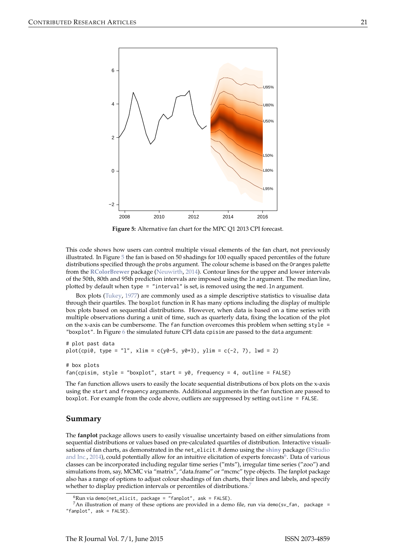<span id="page-6-1"></span><span id="page-6-0"></span>

**Figure 5:** Alternative fan chart for the MPC Q1 2013 CPI forecast.

This code shows how users can control multiple visual elements of the fan chart, not previously illustrated. In Figure  $5$  the fan is based on 50 shadings for 100 equally spaced percentiles of the future distributions specified through the probs argument. The colour scheme is based on the Oranges palette from the **[RColorBrewer](http://CRAN.R-project.org/package=RColorBrewer)** package [\(Neuwirth,](#page-8-7) [2014\)](#page-8-7). Contour lines for the upper and lower intervals of the 50th, 80th and 95th prediction intervals are imposed using the ln argument. The median line, plotted by default when type = "interval" is set, is removed using the med.ln argument.

Box plots [\(Tukey,](#page-8-8) [1977\)](#page-8-8) are commonly used as a simple descriptive statistics to visualise data through their quartiles. The boxplot function in R has many options including the display of multiple box plots based on sequential distributions. However, when data is based on a time series with multiple observations during a unit of time, such as quarterly data, fixing the location of the plot on the x-axis can be cumbersome. The fan function overcomes this problem when setting style = "boxplot". In Figure [6](#page-7-12) the simulated future CPI data cpisim are passed to the data argument:

# plot past data plot(cpi0, type = "l", xlim = c(y0-5, y0+3), ylim = c(-2, 7), lwd = 2) # box plots

```
fan(cpisim, style = "boxplot", start = y0, frequency = 4, outline = FALSE)
```
The fan function allows users to easily the locate sequential distributions of box plots on the x-axis using the start and frequency arguments. Additional arguments in the fan function are passed to boxplot. For example from the code above, outliers are suppressed by setting outline = FALSE.

### **Summary**

The **fanplot** package allows users to easily visualise uncertainty based on either simulations from sequential distributions or values based on pre-calculated quartiles of distribution. Interactive visualisations of fan charts, as demonstrated in the net\_elicit.R demo using the **[shiny](http://CRAN.R-project.org/package=shiny)** package [\(RStudio](#page-8-9) [and Inc.,](#page-8-9) [2014\)](#page-8-9), could potentially allow for an intuitive elicitation of experts forecasts<sup>[6](#page--1-0)</sup>. Data of various classes can be incorporated including regular time series ("mts"), irregular time series ("zoo") and simulations from, say, MCMC via "matrix", "data.frame" or "mcmc" type objects. The fanplot package also has a range of options to adjust colour shadings of fan charts, their lines and labels, and specify whether to display prediction intervals or percentiles of distributions.<sup>[7](#page--1-0)</sup>

 ${}^6$ Run via demo(net\_elicit, package = "fanplot", ask = FALSE).

<sup>&</sup>lt;sup>7</sup>An illustration of many of these options are provided in a demo file, run via demo(sv\_fan, package = "fanplot", ask = FALSE).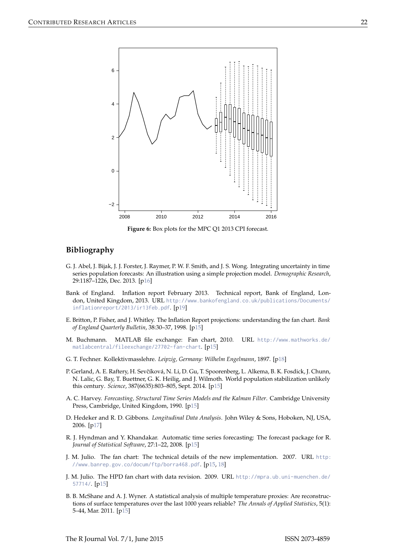<span id="page-7-12"></span>

**Figure 6:** Box plots for the MPC Q1 2013 CPI forecast.

## **Bibliography**

- <span id="page-7-8"></span>G. J. Abel, J. Bijak, J. J. Forster, J. Raymer, P. W. F. Smith, and J. S. Wong. Integrating uncertainty in time series population forecasts: An illustration using a simple projection model. *Demographic Research*, 29:1187–1226, Dec. 2013. [[p16\]](#page-1-1)
- <span id="page-7-11"></span>Bank of England. Inflation report February 2013. Technical report, Bank of England, London, United Kingdom, 2013. URL [http://www.bankofengland.co.uk/publications/Documents/](http://www.bankofengland.co.uk/publications/Documents/inflationreport/2013/ir13feb.pdf) [inflationreport/2013/ir13feb.pdf](http://www.bankofengland.co.uk/publications/Documents/inflationreport/2013/ir13feb.pdf). [[p19\]](#page-4-0)
- <span id="page-7-0"></span>E. Britton, P. Fisher, and J. Whitley. The Inflation Report projections: understanding the fan chart. *Bank of England Quarterly Bulletin*, 38:30–37, 1998. [[p15\]](#page-0-0)
- <span id="page-7-6"></span>M. Buchmann. MATLAB file exchange: Fan chart, 2010. URL [http://www.mathworks.de/](http://www.mathworks.de/matlabcentral/fileexchange/27702-fan-chart) [matlabcentral/fileexchange/27702-fan-chart](http://www.mathworks.de/matlabcentral/fileexchange/27702-fan-chart). [[p15\]](#page-0-0)
- <span id="page-7-10"></span>G. T. Fechner. Kollektivmasslehre. *Leipzig, Germany: Wilhelm Engelmann*, 1897. [[p18\]](#page-3-1)
- <span id="page-7-3"></span>P. Gerland, A. E. Raftery, H. Sevčíková, N. Li, D. Gu, T. Spoorenberg, L. Alkema, B. K. Fosdick, J. Chunn, N. Lalic, G. Bay, T. Buettner, G. K. Heilig, and J. Wilmoth. World population stabilization unlikely this century. *Science*, 387(6635):803–805, Sept. 2014. [[p15\]](#page-0-0)
- <span id="page-7-7"></span>A. C. Harvey. *Forecasting, Structural Time Series Models and the Kalman Filter*. Cambridge University Press, Cambridge, United Kingdom, 1990. [[p15\]](#page-0-0)
- <span id="page-7-9"></span>D. Hedeker and R. D. Gibbons. *Longitudinal Data Analysis*. John Wiley & Sons, Hoboken, NJ, USA, 2006. [[p17\]](#page-2-1)
- <span id="page-7-4"></span>R. J. Hyndman and Y. Khandakar. Automatic time series forecasting: The forecast package for R. *Journal of Statistical Software*, 27:1–22, 2008. [[p15\]](#page-0-0)
- <span id="page-7-1"></span>J. M. Julio. The fan chart: The technical details of the new implementation. 2007. URL [http:](http://www.banrep.gov.co/docum/ftp/borra468.pdf) [//www.banrep.gov.co/docum/ftp/borra468.pdf](http://www.banrep.gov.co/docum/ftp/borra468.pdf). [[p15,](#page-0-0) [18\]](#page-3-1)
- <span id="page-7-5"></span>J. M. Julio. The HPD fan chart with data revision. 2009. URL [http://mpra.ub.uni-muenchen.de/](http://mpra.ub.uni-muenchen.de/57714/) [57714/](http://mpra.ub.uni-muenchen.de/57714/). [[p15\]](#page-0-0)
- <span id="page-7-2"></span>B. B. McShane and A. J. Wyner. A statistical analysis of multiple temperature proxies: Are reconstructions of surface temperatures over the last 1000 years reliable? *The Annals of Applied Statistics*, 5(1): 5–44, Mar. 2011. [[p15\]](#page-0-0)